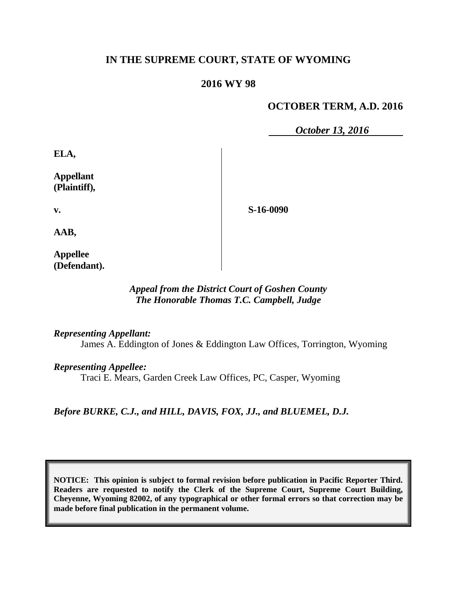# **IN THE SUPREME COURT, STATE OF WYOMING**

## **2016 WY 98**

# **OCTOBER TERM, A.D. 2016**

*October 13, 2016*

**ELA,**

**Appellant (Plaintiff),**

**S-16-0090**

**v.**

**AAB,**

**Appellee (Defendant).**

## *Appeal from the District Court of Goshen County The Honorable Thomas T.C. Campbell, Judge*

#### *Representing Appellant:*

James A. Eddington of Jones & Eddington Law Offices, Torrington, Wyoming

#### *Representing Appellee:*

Traci E. Mears, Garden Creek Law Offices, PC, Casper, Wyoming

*Before BURKE, C.J., and HILL, DAVIS, FOX, JJ., and BLUEMEL, D.J.*

**NOTICE: This opinion is subject to formal revision before publication in Pacific Reporter Third. Readers are requested to notify the Clerk of the Supreme Court, Supreme Court Building, Cheyenne, Wyoming 82002, of any typographical or other formal errors so that correction may be made before final publication in the permanent volume.**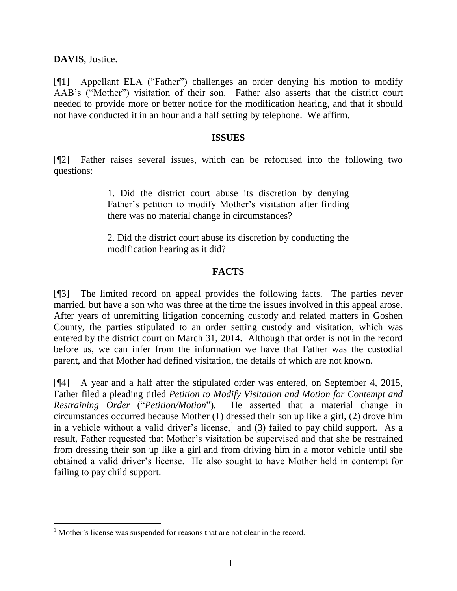**DAVIS**, Justice.

[¶1] Appellant ELA ("Father") challenges an order denying his motion to modify AAB's ("Mother") visitation of their son. Father also asserts that the district court needed to provide more or better notice for the modification hearing, and that it should not have conducted it in an hour and a half setting by telephone. We affirm.

#### **ISSUES**

[¶2] Father raises several issues, which can be refocused into the following two questions:

> 1. Did the district court abuse its discretion by denying Father's petition to modify Mother's visitation after finding there was no material change in circumstances?

> 2. Did the district court abuse its discretion by conducting the modification hearing as it did?

### **FACTS**

[¶3] The limited record on appeal provides the following facts. The parties never married, but have a son who was three at the time the issues involved in this appeal arose. After years of unremitting litigation concerning custody and related matters in Goshen County, the parties stipulated to an order setting custody and visitation, which was entered by the district court on March 31, 2014. Although that order is not in the record before us, we can infer from the information we have that Father was the custodial parent, and that Mother had defined visitation, the details of which are not known.

[¶4] A year and a half after the stipulated order was entered, on September 4, 2015, Father filed a pleading titled *Petition to Modify Visitation and Motion for Contempt and Restraining Order* ("*Petition/Motion*")*.* He asserted that a material change in circumstances occurred because Mother (1) dressed their son up like a girl, (2) drove him in a vehicle without a valid driver's license,<sup>1</sup> and (3) failed to pay child support. As a result, Father requested that Mother's visitation be supervised and that she be restrained from dressing their son up like a girl and from driving him in a motor vehicle until she obtained a valid driver's license. He also sought to have Mother held in contempt for failing to pay child support.

<sup>&</sup>lt;sup>1</sup> Mother's license was suspended for reasons that are not clear in the record.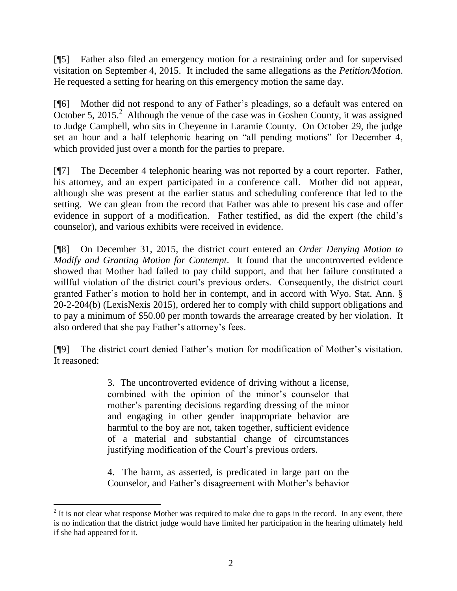[¶5] Father also filed an emergency motion for a restraining order and for supervised visitation on September 4, 2015. It included the same allegations as the *Petition/Motion*. He requested a setting for hearing on this emergency motion the same day.

[¶6] Mother did not respond to any of Father's pleadings, so a default was entered on October 5, 2015.<sup>2</sup> Although the venue of the case was in Goshen County, it was assigned to Judge Campbell, who sits in Cheyenne in Laramie County. On October 29, the judge set an hour and a half telephonic hearing on "all pending motions" for December 4, which provided just over a month for the parties to prepare.

[¶7] The December 4 telephonic hearing was not reported by a court reporter. Father, his attorney, and an expert participated in a conference call. Mother did not appear, although she was present at the earlier status and scheduling conference that led to the setting. We can glean from the record that Father was able to present his case and offer evidence in support of a modification. Father testified, as did the expert (the child's counselor), and various exhibits were received in evidence.

[¶8] On December 31, 2015, the district court entered an *Order Denying Motion to Modify and Granting Motion for Contempt*. It found that the uncontroverted evidence showed that Mother had failed to pay child support, and that her failure constituted a willful violation of the district court's previous orders. Consequently, the district court granted Father's motion to hold her in contempt, and in accord with Wyo. Stat. Ann. § 20-2-204(b) (LexisNexis 2015), ordered her to comply with child support obligations and to pay a minimum of \$50.00 per month towards the arrearage created by her violation. It also ordered that she pay Father's attorney's fees.

[¶9] The district court denied Father's motion for modification of Mother's visitation. It reasoned:

> 3. The uncontroverted evidence of driving without a license, combined with the opinion of the minor's counselor that mother's parenting decisions regarding dressing of the minor and engaging in other gender inappropriate behavior are harmful to the boy are not, taken together, sufficient evidence of a material and substantial change of circumstances justifying modification of the Court's previous orders.

> 4. The harm, as asserted, is predicated in large part on the Counselor, and Father's disagreement with Mother's behavior

 $2<sup>2</sup>$  It is not clear what response Mother was required to make due to gaps in the record. In any event, there is no indication that the district judge would have limited her participation in the hearing ultimately held if she had appeared for it.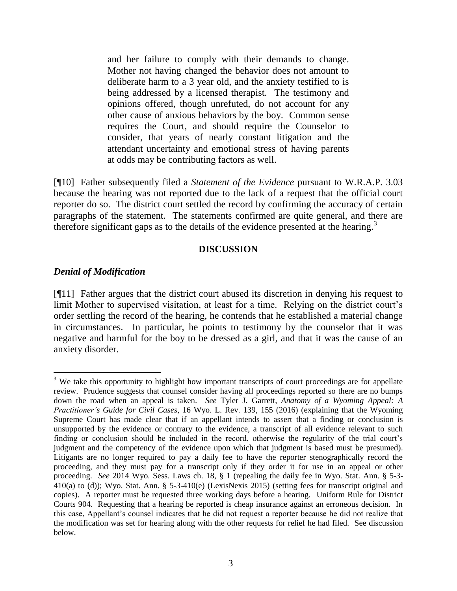and her failure to comply with their demands to change. Mother not having changed the behavior does not amount to deliberate harm to a 3 year old, and the anxiety testified to is being addressed by a licensed therapist. The testimony and opinions offered, though unrefuted, do not account for any other cause of anxious behaviors by the boy. Common sense requires the Court, and should require the Counselor to consider, that years of nearly constant litigation and the attendant uncertainty and emotional stress of having parents at odds may be contributing factors as well.

[¶10] Father subsequently filed a *Statement of the Evidence* pursuant to W.R.A.P. 3.03 because the hearing was not reported due to the lack of a request that the official court reporter do so. The district court settled the record by confirming the accuracy of certain paragraphs of the statement. The statements confirmed are quite general, and there are therefore significant gaps as to the details of the evidence presented at the hearing.<sup>3</sup>

### **DISCUSSION**

### *Denial of Modification*

[¶11] Father argues that the district court abused its discretion in denying his request to limit Mother to supervised visitation, at least for a time. Relying on the district court's order settling the record of the hearing, he contends that he established a material change in circumstances. In particular, he points to testimony by the counselor that it was negative and harmful for the boy to be dressed as a girl, and that it was the cause of an anxiety disorder.

l <sup>3</sup> We take this opportunity to highlight how important transcripts of court proceedings are for appellate review. Prudence suggests that counsel consider having all proceedings reported so there are no bumps down the road when an appeal is taken. *See* Tyler J. Garrett, *Anatomy of a Wyoming Appeal: A Practitioner's Guide for Civil Cases*, 16 Wyo. L. Rev. 139, 155 (2016) (explaining that the Wyoming Supreme Court has made clear that if an appellant intends to assert that a finding or conclusion is unsupported by the evidence or contrary to the evidence, a transcript of all evidence relevant to such finding or conclusion should be included in the record, otherwise the regularity of the trial court's judgment and the competency of the evidence upon which that judgment is based must be presumed). Litigants are no longer required to pay a daily fee to have the reporter stenographically record the proceeding, and they must pay for a transcript only if they order it for use in an appeal or other proceeding. *See* 2014 Wyo. Sess. Laws ch. 18, § 1 (repealing the daily fee in Wyo. Stat. Ann. § 5-3- 410(a) to (d)); Wyo. Stat. Ann. § 5-3-410(e) (LexisNexis 2015) (setting fees for transcript original and copies). A reporter must be requested three working days before a hearing. Uniform Rule for District Courts 904. Requesting that a hearing be reported is cheap insurance against an erroneous decision. In this case, Appellant's counsel indicates that he did not request a reporter because he did not realize that the modification was set for hearing along with the other requests for relief he had filed. See discussion below.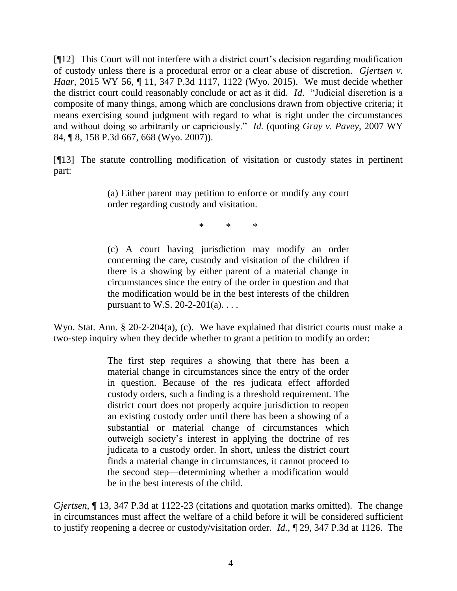[¶12] This Court will not interfere with a district court's decision regarding modification of custody unless there is a procedural error or a clear abuse of discretion. *Gjertsen v. Haar*, 2015 WY 56, ¶ 11, 347 P.3d 1117, 1122 (Wyo. 2015). We must decide whether the district court could reasonably conclude or act as it did. *Id*. "Judicial discretion is a composite of many things, among which are conclusions drawn from objective criteria; it means exercising sound judgment with regard to what is right under the circumstances and without doing so arbitrarily or capriciously." *Id.* (quoting *Gray v. Pavey*, 2007 WY 84, ¶ 8, 158 P.3d 667, 668 (Wyo. 2007)).

[¶13] The statute controlling modification of visitation or custody states in pertinent part:

> (a) Either parent may petition to enforce or modify any court order regarding custody and visitation.

> > \* \* \*

(c) A court having jurisdiction may modify an order concerning the care, custody and visitation of the children if there is a showing by either parent of a material change in circumstances since the entry of the order in question and that the modification would be in the best interests of the children pursuant to W.S.  $20-2-201(a)$ ...

Wyo. Stat. Ann. § 20-2-204(a), (c). We have explained that district courts must make a two-step inquiry when they decide whether to grant a petition to modify an order:

> The first step requires a showing that there has been a material change in circumstances since the entry of the order in question. Because of the res judicata effect afforded custody orders, such a finding is a threshold requirement. The district court does not properly acquire jurisdiction to reopen an existing custody order until there has been a showing of a substantial or material change of circumstances which outweigh society's interest in applying the doctrine of res judicata to a custody order. In short, unless the district court finds a material change in circumstances, it cannot proceed to the second step—determining whether a modification would be in the best interests of the child.

*Gjertsen*, ¶ 13, 347 P.3d at 1122-23 (citations and quotation marks omitted). The change in circumstances must affect the welfare of a child before it will be considered sufficient to justify reopening a decree or custody/visitation order. *Id.*, ¶ 29, 347 P.3d at 1126. The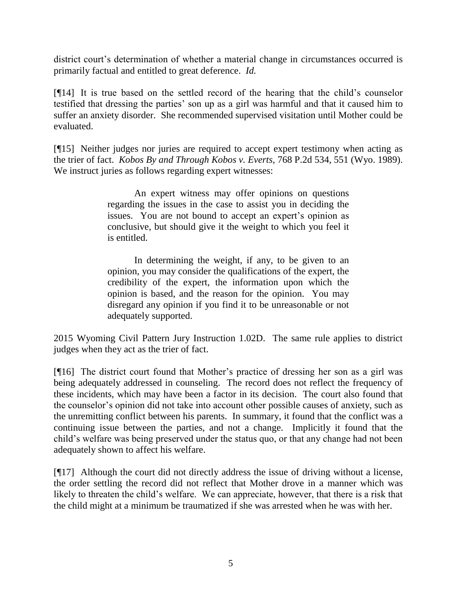district court's determination of whether a material change in circumstances occurred is primarily factual and entitled to great deference. *Id.*

[¶14] It is true based on the settled record of the hearing that the child's counselor testified that dressing the parties' son up as a girl was harmful and that it caused him to suffer an anxiety disorder. She recommended supervised visitation until Mother could be evaluated.

[¶15] Neither judges nor juries are required to accept expert testimony when acting as the trier of fact. *Kobos By and Through Kobos v. Everts*, 768 P.2d 534, 551 (Wyo. 1989). We instruct juries as follows regarding expert witnesses:

> An expert witness may offer opinions on questions regarding the issues in the case to assist you in deciding the issues. You are not bound to accept an expert's opinion as conclusive, but should give it the weight to which you feel it is entitled.

> In determining the weight, if any, to be given to an opinion, you may consider the qualifications of the expert, the credibility of the expert, the information upon which the opinion is based, and the reason for the opinion. You may disregard any opinion if you find it to be unreasonable or not adequately supported.

2015 Wyoming Civil Pattern Jury Instruction 1.02D. The same rule applies to district judges when they act as the trier of fact.

[¶16] The district court found that Mother's practice of dressing her son as a girl was being adequately addressed in counseling. The record does not reflect the frequency of these incidents, which may have been a factor in its decision. The court also found that the counselor's opinion did not take into account other possible causes of anxiety, such as the unremitting conflict between his parents. In summary, it found that the conflict was a continuing issue between the parties, and not a change. Implicitly it found that the child's welfare was being preserved under the status quo, or that any change had not been adequately shown to affect his welfare.

[¶17] Although the court did not directly address the issue of driving without a license, the order settling the record did not reflect that Mother drove in a manner which was likely to threaten the child's welfare. We can appreciate, however, that there is a risk that the child might at a minimum be traumatized if she was arrested when he was with her.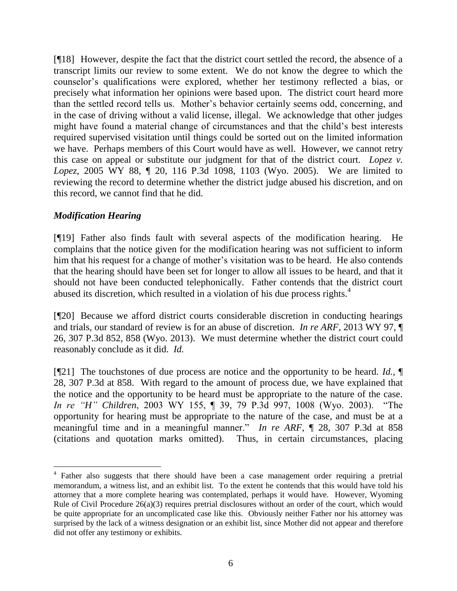[¶18] However, despite the fact that the district court settled the record, the absence of a transcript limits our review to some extent. We do not know the degree to which the counselor's qualifications were explored, whether her testimony reflected a bias, or precisely what information her opinions were based upon. The district court heard more than the settled record tells us. Mother's behavior certainly seems odd, concerning, and in the case of driving without a valid license, illegal. We acknowledge that other judges might have found a material change of circumstances and that the child's best interests required supervised visitation until things could be sorted out on the limited information we have. Perhaps members of this Court would have as well. However, we cannot retry this case on appeal or substitute our judgment for that of the district court. *Lopez v. Lopez*, 2005 WY 88, ¶ 20, 116 P.3d 1098, 1103 (Wyo. 2005). We are limited to reviewing the record to determine whether the district judge abused his discretion, and on this record, we cannot find that he did.

## *Modification Hearing*

[¶19] Father also finds fault with several aspects of the modification hearing. He complains that the notice given for the modification hearing was not sufficient to inform him that his request for a change of mother's visitation was to be heard. He also contends that the hearing should have been set for longer to allow all issues to be heard, and that it should not have been conducted telephonically. Father contends that the district court abused its discretion, which resulted in a violation of his due process rights.<sup>4</sup>

[¶20] Because we afford district courts considerable discretion in conducting hearings and trials, our standard of review is for an abuse of discretion. *In re ARF*, 2013 WY 97, ¶ 26, 307 P.3d 852, 858 (Wyo. 2013). We must determine whether the district court could reasonably conclude as it did. *Id.*

[¶21] The touchstones of due process are notice and the opportunity to be heard. *Id.,* ¶ 28, 307 P.3d at 858. With regard to the amount of process due, we have explained that the notice and the opportunity to be heard must be appropriate to the nature of the case. *In re "H" Children*, 2003 WY 155, ¶ 39, 79 P.3d 997, 1008 (Wyo. 2003). "The opportunity for hearing must be appropriate to the nature of the case, and must be at a meaningful time and in a meaningful manner." *In re ARF*, ¶ 28, 307 P.3d at 858 (citations and quotation marks omitted). Thus, in certain circumstances, placing

<sup>&</sup>lt;sup>4</sup> Father also suggests that there should have been a case management order requiring a pretrial memorandum, a witness list, and an exhibit list. To the extent he contends that this would have told his attorney that a more complete hearing was contemplated, perhaps it would have. However, Wyoming Rule of Civil Procedure 26(a)(3) requires pretrial disclosures without an order of the court, which would be quite appropriate for an uncomplicated case like this. Obviously neither Father nor his attorney was surprised by the lack of a witness designation or an exhibit list, since Mother did not appear and therefore did not offer any testimony or exhibits.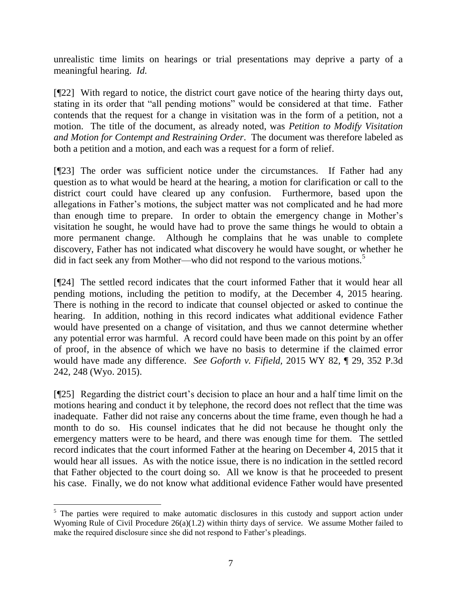unrealistic time limits on hearings or trial presentations may deprive a party of a meaningful hearing. *Id.*

[¶22] With regard to notice, the district court gave notice of the hearing thirty days out, stating in its order that "all pending motions" would be considered at that time. Father contends that the request for a change in visitation was in the form of a petition, not a motion. The title of the document, as already noted, was *Petition to Modify Visitation and Motion for Contempt and Restraining Order*. The document was therefore labeled as both a petition and a motion, and each was a request for a form of relief.

[¶23] The order was sufficient notice under the circumstances. If Father had any question as to what would be heard at the hearing, a motion for clarification or call to the district court could have cleared up any confusion. Furthermore, based upon the allegations in Father's motions, the subject matter was not complicated and he had more than enough time to prepare. In order to obtain the emergency change in Mother's visitation he sought, he would have had to prove the same things he would to obtain a more permanent change. Although he complains that he was unable to complete discovery, Father has not indicated what discovery he would have sought, or whether he did in fact seek any from Mother—who did not respond to the various motions.<sup>5</sup>

[¶24] The settled record indicates that the court informed Father that it would hear all pending motions, including the petition to modify, at the December 4, 2015 hearing. There is nothing in the record to indicate that counsel objected or asked to continue the hearing. In addition, nothing in this record indicates what additional evidence Father would have presented on a change of visitation, and thus we cannot determine whether any potential error was harmful. A record could have been made on this point by an offer of proof, in the absence of which we have no basis to determine if the claimed error would have made any difference. *See Goforth v. Fifield,* 2015 WY 82, ¶ 29, 352 P.3d 242, 248 (Wyo. 2015).

[¶25] Regarding the district court's decision to place an hour and a half time limit on the motions hearing and conduct it by telephone, the record does not reflect that the time was inadequate. Father did not raise any concerns about the time frame, even though he had a month to do so. His counsel indicates that he did not because he thought only the emergency matters were to be heard, and there was enough time for them. The settled record indicates that the court informed Father at the hearing on December 4, 2015 that it would hear all issues. As with the notice issue, there is no indication in the settled record that Father objected to the court doing so. All we know is that he proceeded to present his case. Finally, we do not know what additional evidence Father would have presented

<sup>&</sup>lt;sup>5</sup> The parties were required to make automatic disclosures in this custody and support action under Wyoming Rule of Civil Procedure  $26(a)(1.2)$  within thirty days of service. We assume Mother failed to make the required disclosure since she did not respond to Father's pleadings.